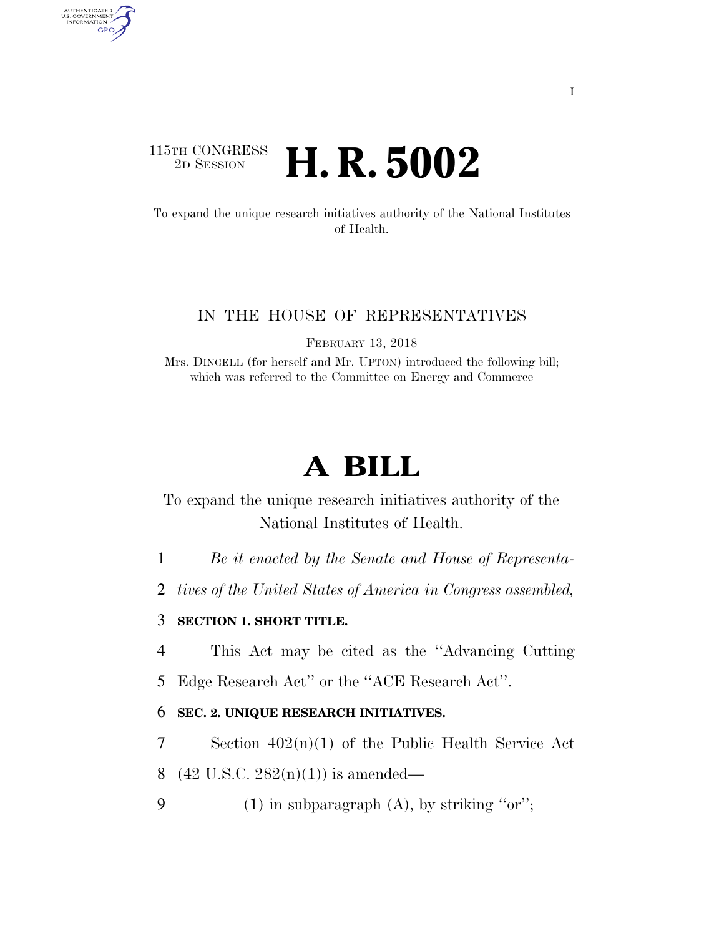# $\begin{array}{c} \textbf{115TH CONGRESS} \\ \textbf{2D} \textbf{Session} \end{array}$ 2D SESSION **H. R. 5002**

AUTHENTICATED<br>U.S. GOVERNMENT<br>INFORMATION GPO

> To expand the unique research initiatives authority of the National Institutes of Health.

### IN THE HOUSE OF REPRESENTATIVES

FEBRUARY 13, 2018

Mrs. DINGELL (for herself and Mr. UPTON) introduced the following bill; which was referred to the Committee on Energy and Commerce

# **A BILL**

To expand the unique research initiatives authority of the National Institutes of Health.

- 1 *Be it enacted by the Senate and House of Representa-*
- 2 *tives of the United States of America in Congress assembled,*

## 3 **SECTION 1. SHORT TITLE.**

4 This Act may be cited as the ''Advancing Cutting

5 Edge Research Act'' or the ''ACE Research Act''.

#### 6 **SEC. 2. UNIQUE RESEARCH INITIATIVES.**

7 Section 402(n)(1) of the Public Health Service Act

8 (42 U.S.C.  $282(n)(1)$ ) is amended—

9 (1) in subparagraph  $(A)$ , by striking "or";